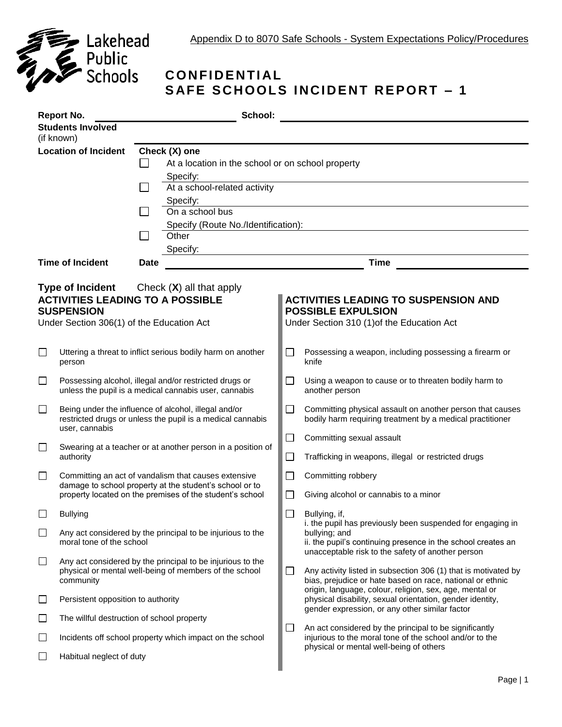

## **C O N FI D E N TI AL SAFE SCHOOLS INCIDENT REPORT - 1**

| School:<br><b>Report No.</b>                                                                                                                                  |                                                                                                                                      |                                                                                                                 |                                                               |                                                                                                                                                                                                                                                                                                                                                                                                                                                                                                                                                                            |                                                                                                                        |  |  |
|---------------------------------------------------------------------------------------------------------------------------------------------------------------|--------------------------------------------------------------------------------------------------------------------------------------|-----------------------------------------------------------------------------------------------------------------|---------------------------------------------------------------|----------------------------------------------------------------------------------------------------------------------------------------------------------------------------------------------------------------------------------------------------------------------------------------------------------------------------------------------------------------------------------------------------------------------------------------------------------------------------------------------------------------------------------------------------------------------------|------------------------------------------------------------------------------------------------------------------------|--|--|
|                                                                                                                                                               | <b>Students Involved</b><br>(if known)                                                                                               |                                                                                                                 |                                                               |                                                                                                                                                                                                                                                                                                                                                                                                                                                                                                                                                                            |                                                                                                                        |  |  |
| <b>Location of Incident</b><br>Check (X) one                                                                                                                  |                                                                                                                                      |                                                                                                                 |                                                               |                                                                                                                                                                                                                                                                                                                                                                                                                                                                                                                                                                            |                                                                                                                        |  |  |
|                                                                                                                                                               |                                                                                                                                      |                                                                                                                 | At a location in the school or on school property<br>Specify: |                                                                                                                                                                                                                                                                                                                                                                                                                                                                                                                                                                            |                                                                                                                        |  |  |
|                                                                                                                                                               |                                                                                                                                      |                                                                                                                 | At a school-related activity                                  |                                                                                                                                                                                                                                                                                                                                                                                                                                                                                                                                                                            |                                                                                                                        |  |  |
|                                                                                                                                                               |                                                                                                                                      |                                                                                                                 | Specify:<br>On a school bus                                   |                                                                                                                                                                                                                                                                                                                                                                                                                                                                                                                                                                            |                                                                                                                        |  |  |
|                                                                                                                                                               |                                                                                                                                      |                                                                                                                 | Specify (Route No./Identification):                           |                                                                                                                                                                                                                                                                                                                                                                                                                                                                                                                                                                            |                                                                                                                        |  |  |
|                                                                                                                                                               |                                                                                                                                      |                                                                                                                 | Other                                                         |                                                                                                                                                                                                                                                                                                                                                                                                                                                                                                                                                                            |                                                                                                                        |  |  |
|                                                                                                                                                               | <b>Time of Incident</b>                                                                                                              | <b>Date</b>                                                                                                     | Specify:                                                      |                                                                                                                                                                                                                                                                                                                                                                                                                                                                                                                                                                            | <u> 1989 - Johann Stein, mars an de Britannich (b. 1989)</u><br><b>Time</b>                                            |  |  |
|                                                                                                                                                               |                                                                                                                                      |                                                                                                                 |                                                               |                                                                                                                                                                                                                                                                                                                                                                                                                                                                                                                                                                            |                                                                                                                        |  |  |
| <b>Type of Incident</b> Check (X) all that apply<br><b>ACTIVITIES LEADING TO A POSSIBLE</b><br><b>SUSPENSION</b><br>Under Section 306(1) of the Education Act |                                                                                                                                      |                                                                                                                 |                                                               |                                                                                                                                                                                                                                                                                                                                                                                                                                                                                                                                                                            | <b>ACTIVITIES LEADING TO SUSPENSION AND</b><br><b>POSSIBLE EXPULSION</b><br>Under Section 310 (1) of the Education Act |  |  |
| ⊔                                                                                                                                                             | person                                                                                                                               |                                                                                                                 | Uttering a threat to inflict serious bodily harm on another   | $\mathcal{L}_{\mathcal{A}}$                                                                                                                                                                                                                                                                                                                                                                                                                                                                                                                                                | Possessing a weapon, including possessing a firearm or<br>knife                                                        |  |  |
| ப                                                                                                                                                             |                                                                                                                                      | Possessing alcohol, illegal and/or restricted drugs or<br>unless the pupil is a medical cannabis user, cannabis |                                                               |                                                                                                                                                                                                                                                                                                                                                                                                                                                                                                                                                                            | Using a weapon to cause or to threaten bodily harm to<br>another person                                                |  |  |
| $\Box$                                                                                                                                                        | Being under the influence of alcohol, illegal and/or<br>restricted drugs or unless the pupil is a medical cannabis<br>user, cannabis |                                                                                                                 |                                                               | $\Box$                                                                                                                                                                                                                                                                                                                                                                                                                                                                                                                                                                     | Committing physical assault on another person that causes<br>bodily harm requiring treatment by a medical practitioner |  |  |
| $\Box$                                                                                                                                                        | Swearing at a teacher or at another person in a position of                                                                          |                                                                                                                 | $\Box$                                                        | Committing sexual assault                                                                                                                                                                                                                                                                                                                                                                                                                                                                                                                                                  |                                                                                                                        |  |  |
|                                                                                                                                                               | authority                                                                                                                            |                                                                                                                 |                                                               | $\Box$                                                                                                                                                                                                                                                                                                                                                                                                                                                                                                                                                                     | Trafficking in weapons, illegal or restricted drugs                                                                    |  |  |
| $\Box$                                                                                                                                                        | Committing an act of vandalism that causes extensive<br>damage to school property at the student's school or to                      |                                                                                                                 | $\mathcal{L}$                                                 | Committing robbery                                                                                                                                                                                                                                                                                                                                                                                                                                                                                                                                                         |                                                                                                                        |  |  |
|                                                                                                                                                               |                                                                                                                                      | property located on the premises of the student's school                                                        |                                                               |                                                                                                                                                                                                                                                                                                                                                                                                                                                                                                                                                                            | Giving alcohol or cannabis to a minor                                                                                  |  |  |
|                                                                                                                                                               | <b>Bullying</b>                                                                                                                      |                                                                                                                 |                                                               | $\mathbb{R}^n$                                                                                                                                                                                                                                                                                                                                                                                                                                                                                                                                                             | Bullying, if,<br>i. the pupil has previously been suspended for engaging in                                            |  |  |
| $\Box$                                                                                                                                                        | Any act considered by the principal to be injurious to the<br>moral tone of the school                                               |                                                                                                                 |                                                               | bullying; and<br>ii. the pupil's continuing presence in the school creates an<br>unacceptable risk to the safety of another person<br>Any activity listed in subsection 306 (1) that is motivated by<br>bias, prejudice or hate based on race, national or ethnic<br>origin, language, colour, religion, sex, age, mental or<br>physical disability, sexual orientation, gender identity,<br>gender expression, or any other similar factor<br>$\Box$<br>An act considered by the principal to be significantly<br>injurious to the moral tone of the school and/or to the |                                                                                                                        |  |  |
| $\Box$                                                                                                                                                        | Any act considered by the principal to be injurious to the<br>physical or mental well-being of members of the school<br>community    |                                                                                                                 |                                                               |                                                                                                                                                                                                                                                                                                                                                                                                                                                                                                                                                                            | ப                                                                                                                      |  |  |
| ⊔                                                                                                                                                             | Persistent opposition to authority                                                                                                   |                                                                                                                 |                                                               |                                                                                                                                                                                                                                                                                                                                                                                                                                                                                                                                                                            |                                                                                                                        |  |  |
| ப                                                                                                                                                             | The willful destruction of school property                                                                                           |                                                                                                                 |                                                               |                                                                                                                                                                                                                                                                                                                                                                                                                                                                                                                                                                            |                                                                                                                        |  |  |
| ⊔                                                                                                                                                             | Incidents off school property which impact on the school                                                                             |                                                                                                                 |                                                               |                                                                                                                                                                                                                                                                                                                                                                                                                                                                                                                                                                            |                                                                                                                        |  |  |
| $\Box$                                                                                                                                                        | Habitual neglect of duty                                                                                                             |                                                                                                                 |                                                               | physical or mental well-being of others                                                                                                                                                                                                                                                                                                                                                                                                                                                                                                                                    |                                                                                                                        |  |  |
|                                                                                                                                                               |                                                                                                                                      |                                                                                                                 |                                                               |                                                                                                                                                                                                                                                                                                                                                                                                                                                                                                                                                                            |                                                                                                                        |  |  |